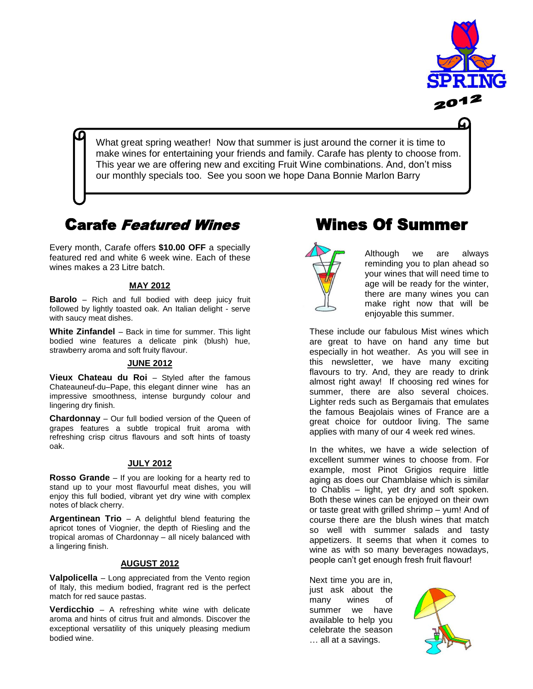

What great spring weather! Now that summer is just around the corner it is time to make wines for entertaining your friends and family. Carafe has plenty to choose from. This year we are offering new and exciting Fruit Wine combinations. And, don't miss our monthly specials too. See you soon we hope Dana Bonnie Marlon Barry

## Carafe Featured Wines

Every month, Carafe offers **\$10.00 OFF** a specially featured red and white 6 week wine. Each of these wines makes a 23 Litre batch.

#### **MAY 2012**

**Barolo** – Rich and full bodied with deep juicy fruit followed by lightly toasted oak. An Italian delight - serve with saucy meat dishes.

**White Zinfandel** – Back in time for summer. This light bodied wine features a delicate pink (blush) hue, strawberry aroma and soft fruity flavour.

#### **JUNE 2012**

**Vieux Chateau du Roi** – Styled after the famous Chateauneuf-du–Pape, this elegant dinner wine has an impressive smoothness, intense burgundy colour and lingering dry finish.

**Chardonnay** – Our full bodied version of the Queen of grapes features a subtle tropical fruit aroma with refreshing crisp citrus flavours and soft hints of toasty oak.

#### **JULY 2012**

**Rosso Grande** – If you are looking for a hearty red to stand up to your most flavourful meat dishes, you will enjoy this full bodied, vibrant yet dry wine with complex notes of black cherry.

**Argentinean Trio** – A delightful blend featuring the apricot tones of Viognier, the depth of Riesling and the tropical aromas of Chardonnay – all nicely balanced with a lingering finish.

#### **AUGUST 2012**

**Valpolicella** – Long appreciated from the Vento region of Italy, this medium bodied, fragrant red is the perfect match for red sauce pastas.

 exceptional versatility of this uniquely pleasing medium **Verdicchio** – A refreshing white wine with delicate aroma and hints of citrus fruit and almonds. Discover the bodied wine.

# Wines Of Summer



Although we are always reminding you to plan ahead so your wines that will need time to age will be ready for the winter, there are many wines you can make right now that will be enjoyable this summer.

These include our fabulous Mist wines which are great to have on hand any time but especially in hot weather. As you will see in this newsletter, we have many exciting flavours to try. And, they are ready to drink almost right away! If choosing red wines for summer, there are also several choices. Lighter reds such as Bergamais that emulates the famous Beajolais wines of France are a great choice for outdoor living. The same applies with many of our 4 week red wines.

In the whites, we have a wide selection of excellent summer wines to choose from. For example, most Pinot Grigios require little aging as does our Chamblaise which is similar to Chablis – light, yet dry and soft spoken. Both these wines can be enjoyed on their own or taste great with grilled shrimp – yum! And of course there are the blush wines that match so well with summer salads and tasty appetizers. It seems that when it comes to wine as with so many beverages nowadays, people can't get enough fresh fruit flavour!

Next time you are in, just ask about the many wines of summer we have available to help you celebrate the season … all at a savings.